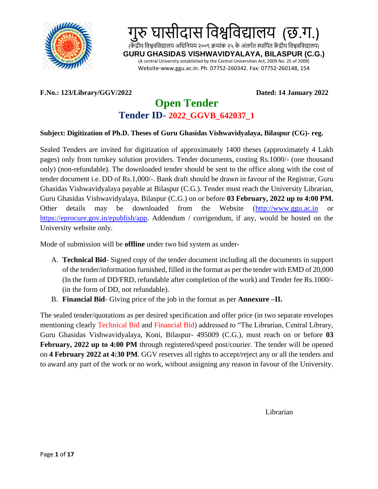

#### **F.No.: 123/Library/GGV/2022 Dated: 14 January 2022**

# **Open Tender Tender ID- 2022\_GGVB\_642037\_1**

#### **Subject: Digitization of Ph.D. Theses of Guru Ghasidas Vishwavidyalaya, Bilaspur (CG)- reg.**

Sealed Tenders are invited for digitization of approximately 1400 theses (approximately 4 Lakh pages) only from turnkey solution providers. Tender documents, costing Rs.1000/- (one thousand only) (non-refundable). The downloaded tender should be sent to the office along with the cost of tender document i.e. DD of Rs.1,000/-. Bank draft should be drawn in favour of the Registrar, Guru Ghasidas Vishwavidyalaya payable at Bilaspur (C.G.). Tender must reach the University Librarian, Guru Ghasidas Vishwavidyalaya, Bilaspur (C.G.) on or before **03 February, 2022 up to 4:00 PM.** Other details may be downloaded from the Website [\(http://www.ggu.ac.in](http://www.ggu.ac.in/) or [https://eprocure.gov.in/epublish/app.](https://eprocure.gov.in/epublish/app) Addendum / corrigendum, if any, would be hosted on the University website only.

Mode of submission will be **offline** under two bid system as under-

- A. **Technical Bid** Signed copy of the tender document including all the documents in support of the tender/information furnished, filled in the format as per the tender with EMD of 20,000 (In the form of DD/FRD, refundable after completion of the work) and Tender fee Rs.1000/- (in the form of DD, not refundable).
- B. **Financial Bid** Giving price of the job in the format as per **Annexure –II.**

The sealed tender/quotations as per desired specification and offer price (in two separate envelopes mentioning clearly Technical Bid and Financial Bid) addressed to "The Librarian, Central Library, Guru Ghasidas Vishwavidyalaya, Koni, Bilaspur- 495009 (C.G.), must reach on or before **03 February, 2022 up to 4:00 PM** through registered/speed post/courier. The tender will be opened on **4 February 2022 at 4:30 PM**. GGV reserves all rights to accept/reject any or all the tenders and to award any part of the work or no work, without assigning any reason in favour of the University.

Librarian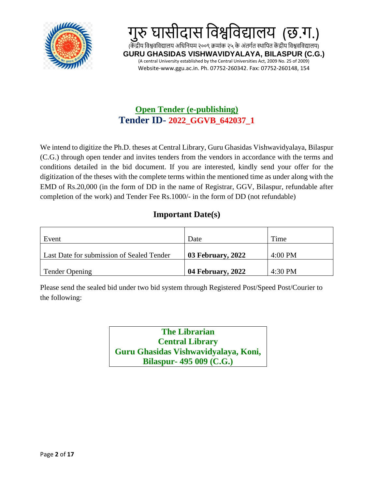



# **Open Tender (e-publishing) Tender ID- 2022\_GGVB\_642037\_1**

We intend to digitize the Ph.D. theses at Central Library, Guru Ghasidas Vishwavidyalaya, Bilaspur (C.G.) through open tender and invites tenders from the vendors in accordance with the terms and conditions detailed in the bid document. If you are interested, kindly send your offer for the digitization of the theses with the complete terms within the mentioned time as under along with the EMD of Rs.20,000 (in the form of DD in the name of Registrar, GGV, Bilaspur, refundable after completion of the work) and Tender Fee Rs.1000/- in the form of DD (not refundable)

# **Important Date(s)**

| Event                                     | Date              | Time      |
|-------------------------------------------|-------------------|-----------|
| Last Date for submission of Sealed Tender | 03 February, 2022 | $4:00$ PM |
| Tender Opening                            | 04 February, 2022 | 4:30 PM   |

Please send the sealed bid under two bid system through Registered Post/Speed Post/Courier to the following:

> **The Librarian Central Library Guru Ghasidas Vishwavidyalaya, Koni, Bilaspur- 495 009 (C.G.)**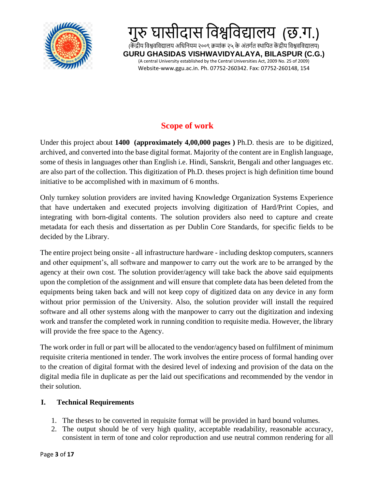

# **Scope of work**

Under this project about **1400 (approximately 4,00,000 pages )** Ph.D. thesis are to be digitized, archived, and converted into the base digital format. Majority of the content are in English language, some of thesis in languages other than English i.e. Hindi, Sanskrit, Bengali and other languages etc. are also part of the collection. This digitization of Ph.D. theses project is high definition time bound initiative to be accomplished with in maximum of 6 months.

Only turnkey solution providers are invited having Knowledge Organization Systems Experience that have undertaken and executed projects involving digitization of Hard/Print Copies, and integrating with born-digital contents. The solution providers also need to capture and create metadata for each thesis and dissertation as per Dublin Core Standards, for specific fields to be decided by the Library.

The entire project being onsite - all infrastructure hardware - including desktop computers, scanners and other equipment's, all software and manpower to carry out the work are to be arranged by the agency at their own cost. The solution provider/agency will take back the above said equipments upon the completion of the assignment and will ensure that complete data has been deleted from the equipments being taken back and will not keep copy of digitized data on any device in any form without prior permission of the University. Also, the solution provider will install the required software and all other systems along with the manpower to carry out the digitization and indexing work and transfer the completed work in running condition to requisite media. However, the library will provide the free space to the Agency.

The work order in full or part will be allocated to the vendor/agency based on fulfilment of minimum requisite criteria mentioned in tender. The work involves the entire process of formal handing over to the creation of digital format with the desired level of indexing and provision of the data on the digital media file in duplicate as per the laid out specifications and recommended by the vendor in their solution.

### **I. Technical Requirements**

- 1. The theses to be converted in requisite format will be provided in hard bound volumes.
- 2. The output should be of very high quality, acceptable readability, reasonable accuracy, consistent in term of tone and color reproduction and use neutral common rendering for all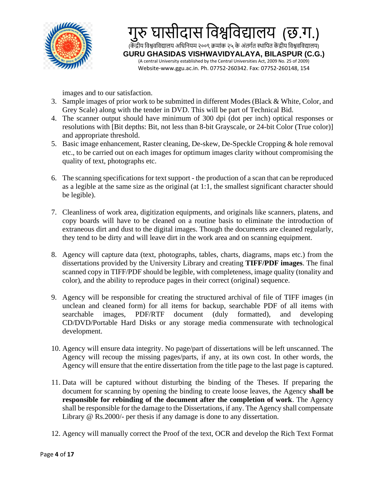

images and to our satisfaction.

- 3. Sample images of prior work to be submitted in different Modes (Black & White, Color, and Grey Scale) along with the tender in DVD. This will be part of Technical Bid.
- 4. The scanner output should have minimum of 300 dpi (dot per inch) optical responses or resolutions with [Bit depths: Bit, not less than 8-bit Grayscale, or 24-bit Color (True color)] and appropriate threshold.
- 5. Basic image enhancement, Raster cleaning, De-skew, De-Speckle Cropping & hole removal etc., to be carried out on each images for optimum images clarity without compromising the quality of text, photographs etc.
- 6. The scanning specifications for text support the production of a scan that can be reproduced as a legible at the same size as the original (at 1:1, the smallest significant character should be legible).
- 7. Cleanliness of work area, digitization equipments, and originals like scanners, platens, and copy boards will have to be cleaned on a routine basis to eliminate the introduction of extraneous dirt and dust to the digital images. Though the documents are cleaned regularly, they tend to be dirty and will leave dirt in the work area and on scanning equipment.
- 8. Agency will capture data (text, photographs, tables, charts, diagrams, maps etc.) from the dissertations provided by the University Library and creating **TIFF/PDF images**. The final scanned copy in TIFF/PDF should be legible, with completeness, image quality (tonality and color), and the ability to reproduce pages in their correct (original) sequence.
- 9. Agency will be responsible for creating the structured archival of file of TIFF images (in unclean and cleaned form) for all items for backup, searchable PDF of all items with searchable images, PDF/RTF document (duly formatted), and developing CD/DVD/Portable Hard Disks or any storage media commensurate with technological development.
- 10. Agency will ensure data integrity. No page/part of dissertations will be left unscanned. The Agency will recoup the missing pages/parts, if any, at its own cost. In other words, the Agency will ensure that the entire dissertation from the title page to the last page is captured.
- 11. Data will be captured without disturbing the binding of the Theses. If preparing the document for scanning by opening the binding to create loose leaves, the Agency **shall be responsible for rebinding of the document after the completion of work**. The Agency shall be responsible for the damage to the Dissertations, if any. The Agency shall compensate Library @ Rs.2000/- per thesis if any damage is done to any dissertation.
- 12. Agency will manually correct the Proof of the text, OCR and develop the Rich Text Format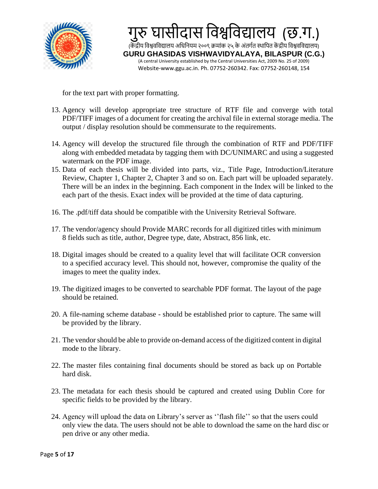

for the text part with proper formatting.

- 13. Agency will develop appropriate tree structure of RTF file and converge with total PDF/TIFF images of a document for creating the archival file in external storage media. The output / display resolution should be commensurate to the requirements.
- 14. Agency will develop the structured file through the combination of RTF and PDF/TIFF along with embedded metadata by tagging them with DC/UNIMARC and using a suggested watermark on the PDF image.
- 15. Data of each thesis will be divided into parts, viz., Title Page, Introduction/Literature Review, Chapter 1, Chapter 2, Chapter 3 and so on. Each part will be uploaded separately. There will be an index in the beginning. Each component in the Index will be linked to the each part of the thesis. Exact index will be provided at the time of data capturing.
- 16. The .pdf/tiff data should be compatible with the University Retrieval Software.
- 17. The vendor/agency should Provide MARC records for all digitized titles with minimum 8 fields such as title, author, Degree type, date, Abstract, 856 link, etc.
- 18. Digital images should be created to a quality level that will facilitate OCR conversion to a specified accuracy level. This should not, however, compromise the quality of the images to meet the quality index.
- 19. The digitized images to be converted to searchable PDF format. The layout of the page should be retained.
- 20. A file-naming scheme database should be established prior to capture. The same will be provided by the library.
- 21. The vendor should be able to provide on-demand access of the digitized content in digital mode to the library.
- 22. The master files containing final documents should be stored as back up on Portable hard disk.
- 23. The metadata for each thesis should be captured and created using Dublin Core for specific fields to be provided by the library.
- 24. Agency will upload the data on Library's server as ''flash file'' so that the users could only view the data. The users should not be able to download the same on the hard disc or pen drive or any other media.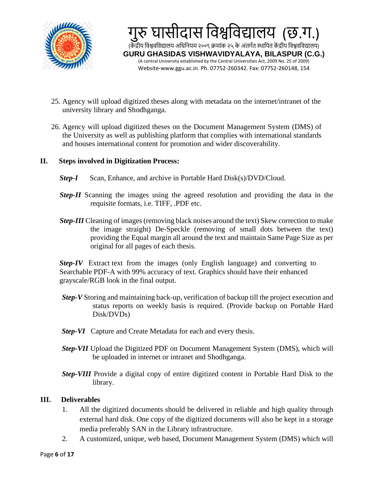

- 25. Agency will upload digitized theses along with metadata on the internet/intranet of the university library and Shodhganga.
- 26. Agency will upload digitized theses on the Document Management System (DMS) of the University as well as publishing platform that complies with international standards and houses international content for promotion and wider discoverability.

#### **II. Steps involved in Digitization Process:**

- **Step-I** Scan, Enhance, and archive in Portable Hard Disk(s)/DVD/Cloud.
- *Step-II* Scanning the images using the agreed resolution and providing the data in the requisite formats, i.e. TIFF, .PDF etc.
- *Step-III* Cleaning of images (removing black noises around the text) Skew correction to make the image straight) De-Speckle (removing of small dots between the text) providing the Equal margin all around the text and maintain Same Page Size as per original for all pages of each thesis.

*Step-IV* Extract text from the images (only English language) and converting to Searchable PDF-A with 99% accuracy of text. Graphics should have their enhanced grayscale/RGB look in the final output.

- *Step-V* Storing and maintaining back-up, verification of backup till the project execution and status reports on weekly basis is required. (Provide backup on Portable Hard Disk/DVDs)
- *Step-VI* Capture and Create Metadata for each and every thesis.
- *Step-VII* Upload the Digitized PDF on Document Management System (DMS), which will be uploaded in internet or intranet and Shodhganga.
- *Step-VIII* Provide a digital copy of entire digitized content in Portable Hard Disk to the library.

#### **III. Deliverables**

- 1. All the digitized documents should be delivered in reliable and high quality through external hard disk. One copy of the digitized documents will also be kept in a storage media preferably SAN in the Library infrastructure.
- 2. A customized, unique, web based, Document Management System (DMS) which will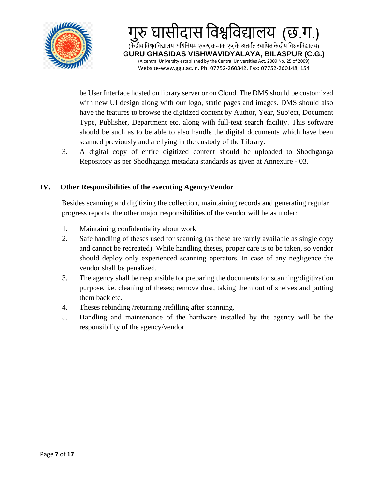

be User Interface hosted on library server or on Cloud. The DMS should be customized with new UI design along with our logo, static pages and images. DMS should also have the features to browse the digitized content by Author, Year, Subject, Document Type, Publisher, Department etc. along with full-text search facility. This software should be such as to be able to also handle the digital documents which have been scanned previously and are lying in the custody of the Library.

3. A digital copy of entire digitized content should be uploaded to Shodhganga Repository as per Shodhganga metadata standards as given at Annexure - 03.

#### **IV. Other Responsibilities of the executing Agency/Vendor**

Besides scanning and digitizing the collection, maintaining records and generating regular progress reports, the other major responsibilities of the vendor will be as under:

- 1. Maintaining confidentiality about work
- 2. Safe handling of theses used for scanning (as these are rarely available as single copy and cannot be recreated). While handling theses, proper care is to be taken, so vendor should deploy only experienced scanning operators. In case of any negligence the vendor shall be penalized.
- 3. The agency shall be responsible for preparing the documents for scanning/digitization purpose, i.e. cleaning of theses; remove dust, taking them out of shelves and putting them back etc.
- 4. Theses rebinding /returning /refilling after scanning.
- 5. Handling and maintenance of the hardware installed by the agency will be the responsibility of the agency/vendor.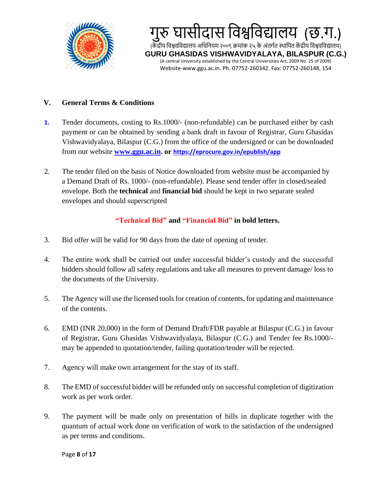

#### **V. General Terms & Conditions**

- **1.** Tender documents, costing to Rs.1000/- (non-refundable) can be purchased either by cash payment or can be obtained by sending a bank draft in favour of Registrar, Guru Ghasidas Vishwavidyalaya, Bilaspur (C.G.) from the office of the undersigned or can be downloaded from our website **[www.ggu.ac.in.](http://www.ggu.ac.in/) or https://eprocure.gov.in/epublish/app**
- 2. The tender filed on the basis of Notice downloaded from website must be accompanied by a Demand Draft of Rs. 1000/- (non-refundable). Please send tender offer in closed/sealed envelope. Both the **technical** and **financial bid** should be kept in two separate sealed envelopes and should superscripted

#### **"Technical Bid" and "Financial Bid" in bold letters.**

- 3. Bid offer will be valid for 90 days from the date of opening of tender.
- 4. The entire work shall be carried out under successful bidder's custody and the successful bidders should follow all safety regulations and take all measures to prevent damage/ loss to the documents of the University.
- 5. The Agency will use the licensed tools for creation of contents, for updating and maintenance of the contents.
- 6. EMD (INR 20,000) in the form of Demand Draft/FDR payable at Bilaspur (C.G.) in favour of Registrar, Guru Ghasidas Vishwavidyalaya, Bilaspur (C.G.) and Tender fee Rs.1000/ may be appended to quotation/tender, failing quotation/tender will be rejected.
- 7. Agency will make own arrangement for the stay of its staff.
- 8. The EMD of successful bidder will be refunded only on successful completion of digitization work as per work order.
- 9. The payment will be made only on presentation of bills in duplicate together with the quantum of actual work done on verification of work to the satisfaction of the undersigned as per terms and conditions.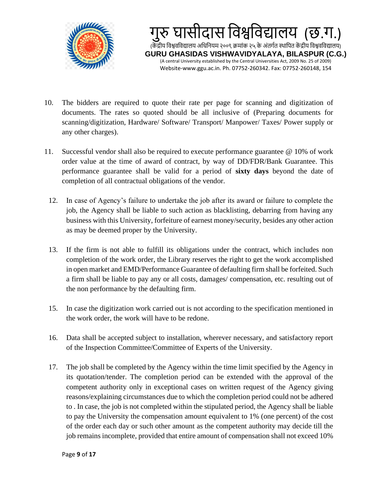



- 10. The bidders are required to quote their rate per page for scanning and digitization of documents. The rates so quoted should be all inclusive of (Preparing documents for scanning/digitization, Hardware/ Software/ Transport/ Manpower/ Taxes/ Power supply or any other charges).
- 11. Successful vendor shall also be required to execute performance guarantee @ 10% of work order value at the time of award of contract, by way of DD/FDR/Bank Guarantee. This performance guarantee shall be valid for a period of **sixty days** beyond the date of completion of all contractual obligations of the vendor.
	- 12. In case of Agency's failure to undertake the job after its award or failure to complete the job, the Agency shall be liable to such action as blacklisting, debarring from having any business with this University, forfeiture of earnest money/security, besides any other action as may be deemed proper by the University.
	- 13. If the firm is not able to fulfill its obligations under the contract, which includes non completion of the work order, the Library reserves the right to get the work accomplished in open market and EMD/Performance Guarantee of defaulting firm shall be forfeited. Such a firm shall be liable to pay any or all costs, damages/ compensation, etc. resulting out of the non performance by the defaulting firm.
	- 15. In case the digitization work carried out is not according to the specification mentioned in the work order, the work will have to be redone.
	- 16. Data shall be accepted subject to installation, wherever necessary, and satisfactory report of the Inspection Committee/Committee of Experts of the University.
	- 17. The job shall be completed by the Agency within the time limit specified by the Agency in its quotation/tender. The completion period can be extended with the approval of the competent authority only in exceptional cases on written request of the Agency giving reasons/explaining circumstances due to which the completion period could not be adhered to . In case, the job is not completed within the stipulated period, the Agency shall be liable to pay the University the compensation amount equivalent to 1% (one percent) of the cost of the order each day or such other amount as the competent authority may decide till the job remains incomplete, provided that entire amount of compensation shall not exceed 10%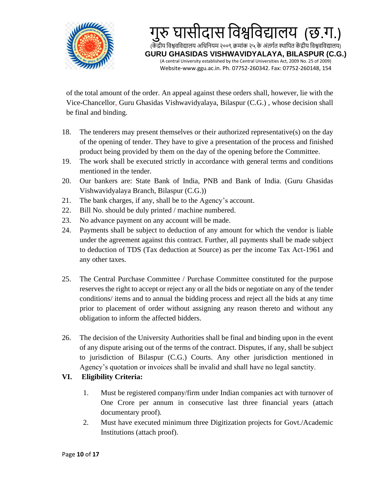

of the total amount of the order. An appeal against these orders shall, however, lie with the Vice-Chancellor, Guru Ghasidas Vishwavidyalaya, Bilaspur (C.G.) , whose decision shall be final and binding.

- 18. The tenderers may present themselves or their authorized representative(s) on the day of the opening of tender. They have to give a presentation of the process and finished product being provided by them on the day of the opening before the Committee.
- 19. The work shall be executed strictly in accordance with general terms and conditions mentioned in the tender.
- 20. Our bankers are: State Bank of India, PNB and Bank of India. (Guru Ghasidas Vishwavidyalaya Branch, Bilaspur (C.G.))
- 21. The bank charges, if any, shall be to the Agency's account.
- 22. Bill No. should be duly printed / machine numbered.
- 23. No advance payment on any account will be made.
- 24. Payments shall be subject to deduction of any amount for which the vendor is liable under the agreement against this contract. Further, all payments shall be made subject to deduction of TDS (Tax deduction at Source) as per the income Tax Act-1961 and any other taxes.
- 25. The Central Purchase Committee / Purchase Committee constituted for the purpose reserves the right to accept or reject any or all the bids or negotiate on any of the tender conditions/ items and to annual the bidding process and reject all the bids at any time prior to placement of order without assigning any reason thereto and without any obligation to inform the affected bidders.
- 26. The decision of the University Authorities shall be final and binding upon in the event of any dispute arising out of the terms of the contract. Disputes, if any, shall be subject to jurisdiction of Bilaspur (C.G.) Courts. Any other jurisdiction mentioned in Agency's quotation or invoices shall be invalid and shall have no legal sanctity.

## **VI. Eligibility Criteria:**

- 1. Must be registered company/firm under Indian companies act with turnover of One Crore per annum in consecutive last three financial years (attach documentary proof).
- 2. Must have executed minimum three Digitization projects for Govt./Academic Institutions (attach proof).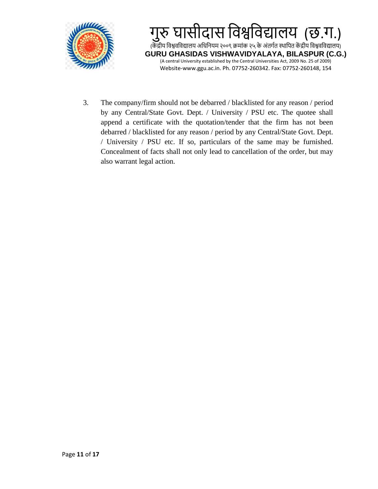



3. The company/firm should not be debarred / blacklisted for any reason / period by any Central/State Govt. Dept. / University / PSU etc. The quotee shall append a certificate with the quotation/tender that the firm has not been debarred / blacklisted for any reason / period by any Central/State Govt. Dept. / University / PSU etc. If so, particulars of the same may be furnished. Concealment of facts shall not only lead to cancellation of the order, but may also warrant legal action.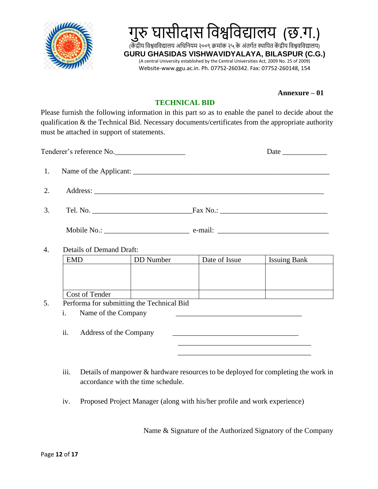



#### **Annexure – 01**

#### **TECHNICAL BID**

Please furnish the following information in this part so as to enable the panel to decide about the qualification & the Technical Bid. Necessary documents/certificates from the appropriate authority must be attached in support of statements.

| Tenderer's reference No. |                          |                                           |               |                     |
|--------------------------|--------------------------|-------------------------------------------|---------------|---------------------|
| 1.                       |                          |                                           |               |                     |
| 2.                       |                          |                                           |               |                     |
| 3.                       |                          |                                           |               |                     |
|                          |                          |                                           |               |                     |
| 4.                       | Details of Demand Draft: |                                           |               |                     |
|                          | <b>EMD</b>               | DD Number                                 | Date of Issue | <b>Issuing Bank</b> |
|                          |                          |                                           |               |                     |
|                          | Cost of Tender           |                                           |               |                     |
| 5.                       |                          | Performa for submitting the Technical Bid |               |                     |
|                          | $i$ Name of the Company  |                                           |               |                     |

1. Name of the Company

ii. Address of the Company

iii. Details of manpower & hardware resources to be deployed for completing the work in accordance with the time schedule.

iv. Proposed Project Manager (along with his/her profile and work experience)

 $\overline{\phantom{a}}$  , and the contract of the contract of the contract of the contract of the contract of the contract of the contract of the contract of the contract of the contract of the contract of the contract of the contrac

Name & Signature of the Authorized Signatory of the Company

\_\_\_\_\_\_\_\_\_\_\_\_\_\_\_\_\_\_\_\_\_\_\_\_\_\_\_\_\_\_\_\_\_\_\_\_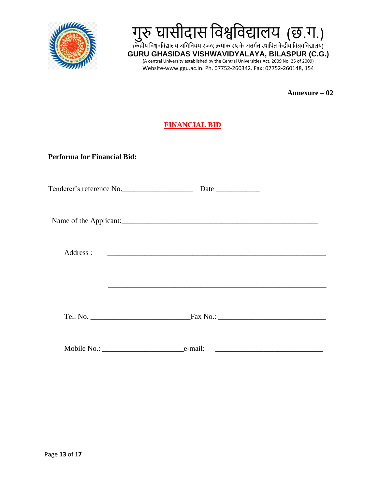

# गुरु घासीदास विश्वविद्यालय (छ.ग.)

(केंद्रीय विश्ववविद्यालय अधिनियम २००९ क्रमांक २५ के अंतर्गत स्थापित केंद्रीय विश्ववविद्यालय) **GURU GHASIDAS VISHWAVIDYALAYA, BILASPUR (C.G.)** (A central University established by the Central Universities Act, 2009 No. 25 of 2009) Website-www.ggu.ac.in. Ph. 07752-260342. Fax: 07752-260148, 154

**Annexure – 02**

## **FINANCIAL BID**

**Performa for Financial Bid:**

|           | Tenderer's reference No.      |  |
|-----------|-------------------------------|--|
|           |                               |  |
|           | Name of the Applicant:        |  |
|           |                               |  |
| Address : |                               |  |
|           |                               |  |
|           |                               |  |
|           |                               |  |
|           | Tel. No.<br>$\text{Fax No.:}$ |  |
|           |                               |  |
|           |                               |  |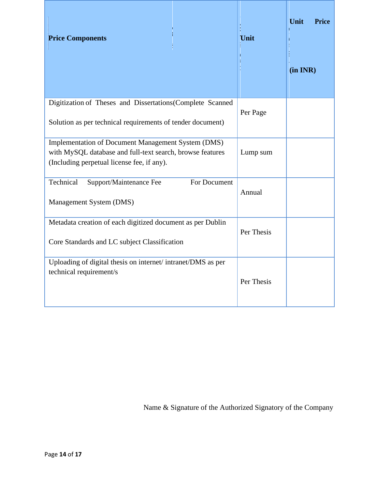| <b>Price Components</b>                                                                                                                                              | Unit       | Unit<br><b>Price</b><br>(in INR) |
|----------------------------------------------------------------------------------------------------------------------------------------------------------------------|------------|----------------------------------|
| Digitization of Theses and Dissertations(Complete Scanned<br>Solution as per technical requirements of tender document)                                              | Per Page   |                                  |
| <b>Implementation of Document Management System (DMS)</b><br>with MySQL database and full-text search, browse features<br>(Including perpetual license fee, if any). | Lump sum   |                                  |
| Support/Maintenance Fee<br>Technical<br>For Document<br>Management System (DMS)                                                                                      | Annual     |                                  |
| Metadata creation of each digitized document as per Dublin<br>Core Standards and LC subject Classification                                                           | Per Thesis |                                  |
| Uploading of digital thesis on internet/intranet/DMS as per<br>technical requirement/s                                                                               | Per Thesis |                                  |

Name & Signature of the Authorized Signatory of the Company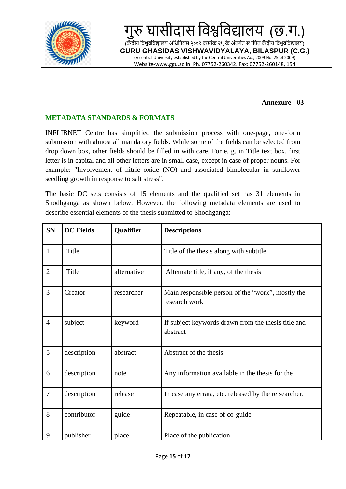

#### **Annexure - 03**

### **METADATA STANDARDS & FORMATS**

INFLIBNET Centre has simplified the submission process with one-page, one-form submission with almost all mandatory fields. While some of the fields can be selected from drop down box, other fields should be filled in with care. For e. g. in Title text box, first letter is in capital and all other letters are in small case, except in case of proper nouns. For example: "Involvement of nitric oxide (NO) and associated bimolecular in sunflower seedling growth in response to salt stress".

The basic DC sets consists of 15 elements and the qualified set has 31 elements in Shodhganga as shown below. However, the following metadata elements are used to describe essential elements of the thesis submitted to Shodhganga:

| <b>SN</b>      | <b>DC</b> Fields | Qualifier   | <b>Descriptions</b>                                                |
|----------------|------------------|-------------|--------------------------------------------------------------------|
| $\mathbf{1}$   | Title            |             | Title of the thesis along with subtitle.                           |
| $\overline{2}$ | Title            | alternative | Alternate title, if any, of the thesis                             |
| $\overline{3}$ | Creator          | researcher  | Main responsible person of the "work", mostly the<br>research work |
| $\overline{4}$ | subject          | keyword     | If subject keywords drawn from the thesis title and<br>abstract    |
| 5              | description      | abstract    | Abstract of the thesis                                             |
| 6              | description      | note        | Any information available in the thesis for the                    |
| $\overline{7}$ | description      | release     | In case any errata, etc. released by the re searcher.              |
| 8              | contributor      | guide       | Repeatable, in case of co-guide                                    |
| 9              | publisher        | place       | Place of the publication                                           |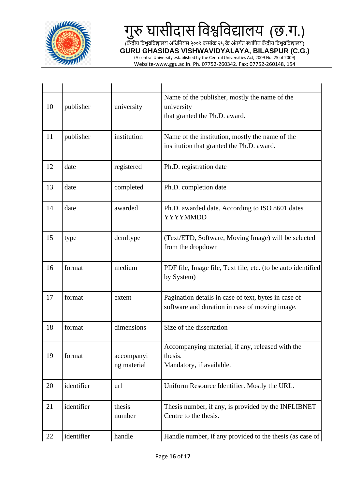

# गुरु घासीदास विश्वविद्यालय (छ.ग.)

(केंद्रीय विश्ववर्विद्यालय अधिनियम २००९ क्रमांक २५ के अंतर्गत स्थापित केंद्रीय विश्ववर्विद्यालय)

**GURU GHASIDAS VISHWAVIDYALAYA, BILASPUR (C.G.)**

(A central University established by the Central Universities Act, 2009 No. 25 of 2009) Website-www.ggu.ac.in. Ph. 07752-260342. Fax: 07752-260148, 154

| 10 | publisher  | university                | Name of the publisher, mostly the name of the<br>university<br>that granted the Ph.D. award.           |
|----|------------|---------------------------|--------------------------------------------------------------------------------------------------------|
| 11 | publisher  | institution               | Name of the institution, mostly the name of the<br>institution that granted the Ph.D. award.           |
| 12 | date       | registered                | Ph.D. registration date                                                                                |
| 13 | date       | completed                 | Ph.D. completion date                                                                                  |
| 14 | date       | awarded                   | Ph.D. awarded date. According to ISO 8601 dates<br><b>YYYYMMDD</b>                                     |
| 15 | type       | dcmltype                  | (Text/ETD, Software, Moving Image) will be selected<br>from the dropdown                               |
| 16 | format     | medium                    | PDF file, Image file, Text file, etc. (to be auto identified<br>by System)                             |
| 17 | format     | extent                    | Pagination details in case of text, bytes in case of<br>software and duration in case of moving image. |
| 18 | format     | dimensions                | Size of the dissertation                                                                               |
| 19 | format     | accompanyi<br>ng material | Accompanying material, if any, released with the<br>thesis.<br>Mandatory, if available.                |
| 20 | identifier | url                       | Uniform Resource Identifier. Mostly the URL.                                                           |
| 21 | identifier | thesis<br>number          | Thesis number, if any, is provided by the INFLIBNET<br>Centre to the thesis.                           |
| 22 | identifier | handle                    | Handle number, if any provided to the thesis (as case of                                               |